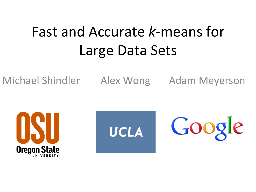## Fast and Accurate *k*-means for Large Data Sets

Michael Shindler Alex Wong Adam Meyerson





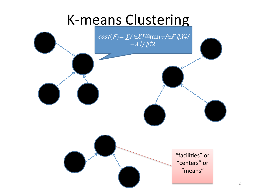#### K-means Clustering

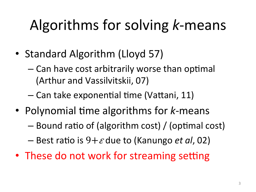# Algorithms for solving *k*-means

- Standard Algorithm (Lloyd 57)
	- $-$  Can have cost arbitrarily worse than optimal (Arthur and Vassilvitskii, 07)
	- $-$  Can take exponential time (Vattani, 11)
- Polynomial time algorithms for *k*-means
	- $-$  Bound ratio of (algorithm cost) / (optimal cost)
	- $-$  Best ratio is  $9+\varepsilon$  due to (Kanungo *et al*, 02)
- These do not work for streaming setting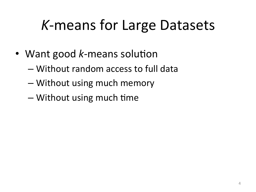### *K*-means for Large Datasets

- Want good *k*-means solution
	- $-$  Without random access to full data
	- Without using much memory
	- $-$  Without using much time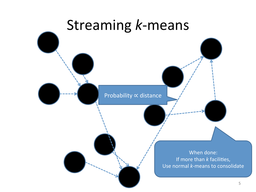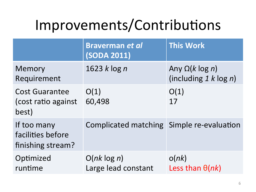## Improvements/Contributions

|                                                       | <b>Braverman et al</b><br><b>(SODA 2011)</b> | <b>This Work</b>                                    |
|-------------------------------------------------------|----------------------------------------------|-----------------------------------------------------|
| Memory<br>Requirement                                 | 1623 $k \log n$                              | Any $\Omega(k \log n)$<br>(including $1 k \log n$ ) |
| <b>Cost Guarantee</b><br>(cost ratio against<br>best) | O(1)<br>60,498                               | O(1)<br>17                                          |
| If too many<br>facilities before<br>finishing stream? | Complicated matching Simple re-evaluation    |                                                     |
| Optimized<br>runtime                                  | $O(nk \log n)$<br>Large lead constant        | o(nk)<br>Less than $\theta(nk)$                     |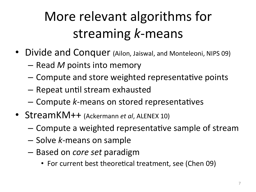### More relevant algorithms for streaming *k*-means

- Divide and Conquer (Ailon, Jaiswal, and Monteleoni, NIPS 09)
	- $-$  Read *M* points into memory
	- Compute and store weighted representative points
	- $-$  Repeat until stream exhausted
	- $-$  Compute *k*-means on stored representatives
- StreamKM++ (Ackermann et al, ALENEX 10)
	- $-$  Compute a weighted representative sample of stream
	- Solve *k*-means on sample
	- Based on *core set* paradigm
		- For current best theoretical treatment, see (Chen 09)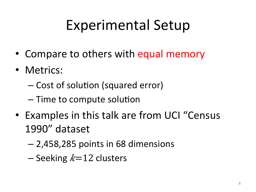## Experimental Setup

- Compare to others with equal memory
- Metrics:
	- Cost of solution (squared error)
	- Time to compute solution
- Examples in this talk are from UCI "Census 1990" dataset
	- $-2,458,285$  points in 68 dimensions
	- $-$  Seeking  $k=12$  clusters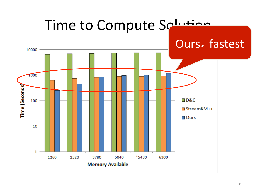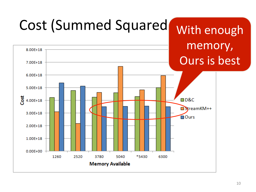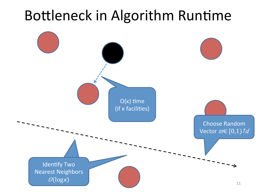#### Bottleneck in Algorithm Runtime

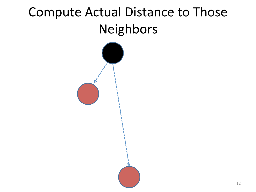#### Compute Actual Distance to Those Neighbors

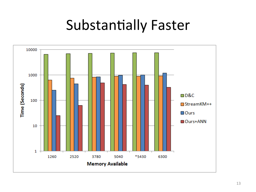#### Substantially Faster

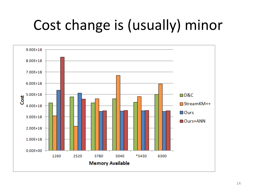## Cost change is (usually) minor

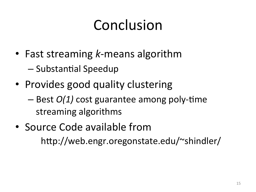## Conclusion

- Fast streaming *k*-means algorithm – Substantial Speedup
- Provides good quality clustering
	- $-$  Best  $O(1)$  cost guarantee among poly-time streaming algorithms
- Source Code available from http://web.engr.oregonstate.edu/~shindler/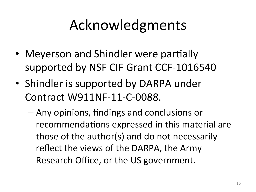## Acknowledgments

- Meyerson and Shindler were partially supported by NSF CIF Grant CCF-1016540
- Shindler is supported by DARPA under Contract W911NF-11-C-0088.
	- Any opinions, findings and conclusions or recommendations expressed in this material are those of the author(s) and do not necessarily reflect the views of the DARPA, the Army Research Office, or the US government.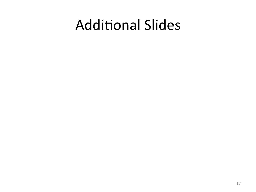#### **Additional Slides**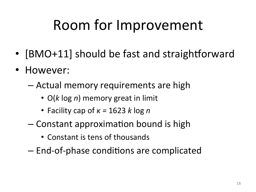## Room for Improvement

- [BMO+11] should be fast and straightforward
- However:
	- $-$  Actual memory requirements are high
		- O(k log *n*) memory great in limit
		- Facility cap of *κ* = 1623 *k* log *n*
	- $-$  Constant approximation bound is high
		- Constant is tens of thousands
	- $-$  End-of-phase conditions are complicated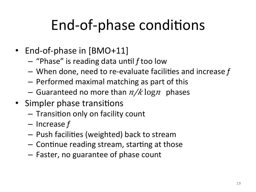## End-of-phase conditions

- End-of-phase in [BMO+11]
	- $-$  "Phase" is reading data until f too low
	- $-$  When done, need to re-evaluate facilities and increase f
	- $-$  Performed maximal matching as part of this
	- Guaranteed no more than  $n/k \log n$  phases
- Simpler phase transitions
	- Transition only on facility count
	- $-$  Increase f
	- $-$  Push facilities (weighted) back to stream
	- $-$  Continue reading stream, starting at those
	- $-$  Faster, no guarantee of phase count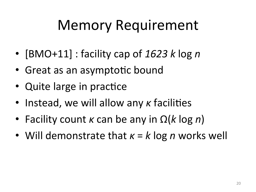### Memory Requirement

- [BMO+11] : facility cap of 1623 k log n
- Great as an asymptotic bound
- Quite large in practice
- Instead, we will allow any *κ* facilities
- Facility count *κ* can be any in  $\Omega(k \log n)$
- Will demonstrate that *κ* = *k* log *n* works well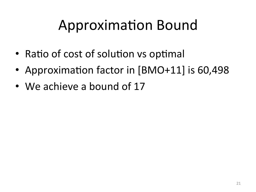## Approximation Bound

- Ratio of cost of solution vs optimal
- Approximation factor in [BMO+11] is 60,498
- We achieve a bound of 17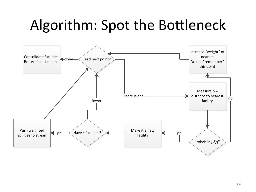### Algorithm: Spot the Bottleneck

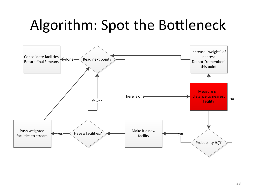### Algorithm: Spot the Bottleneck

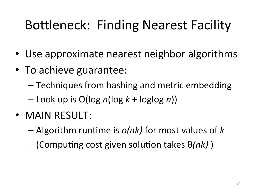#### Bottleneck: Finding Nearest Facility

- Use approximate nearest neighbor algorithms
- To achieve guarantee:
	- $-$  Techniques from hashing and metric embedding
	- $-$  Look up is O(log *n*(log *k* + loglog *n*))
- MAIN RESULT:
	- $-$  Algorithm runtime is  $o(nk)$  for most values of k
	- $-$  (Computing cost given solution takes  $\theta(nk)$ )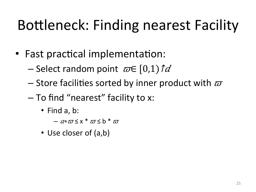# Bottleneck: Finding nearest Facility

- Fast practical implementation:
	- Select random point  $\omega \in [0,1) \hat{\mathcal{U}}$
	- Store facilities sorted by inner product with  $\varpi$
	- To find "nearest" facility to x:
		- Find a, b:
			- $a \times \pi \leq x^* \pi \leq b^* \pi$
		- Use closer of (a,b)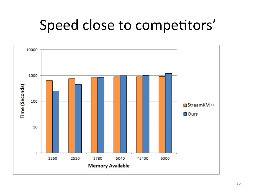#### Speed close to competitors'